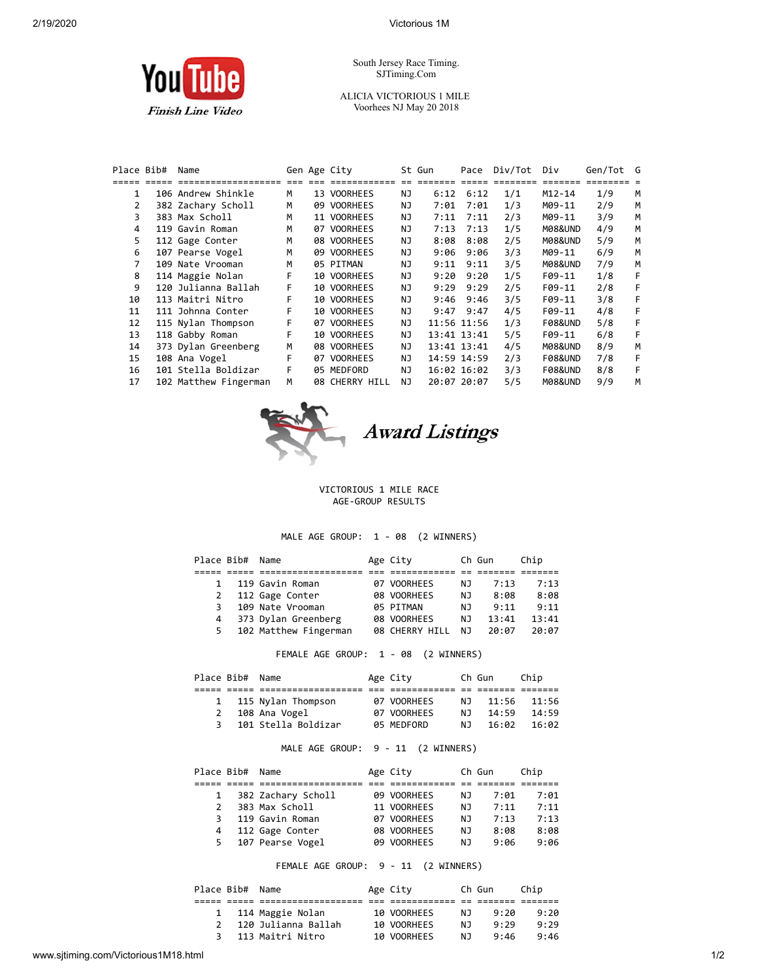

South Jersey Race Timing. SJTiming.Com

ALICIA VICTORIOUS 1 MILE Voorhees NJ May 20 2018

| Place Bib# | Name                  |    | Gen Age City   |     | St Gun      | Pace        | Div/Tot | Div                | Gen/Tot G |   |
|------------|-----------------------|----|----------------|-----|-------------|-------------|---------|--------------------|-----------|---|
|            |                       |    |                |     |             |             |         |                    |           |   |
| 1          | 106 Andrew Shinkle    | М  | 13 VOORHEES    | ΝJ  | 6:12        | 6:12        | 1/1     | $M12 - 14$         | 1/9       | M |
| 2          | 382 Zachary Scholl    | М  | 09 VOORHEES    | ΝJ  | 7:01        | 7:01        | 1/3     | M09-11             | 2/9       | M |
| 3          | 383 Max Scholl        | м  | 11 VOORHEES    | NJ  | 7:11        | 7:11        | 2/3     | M09-11             | 3/9       | м |
| 4          | 119 Gavin Roman       | M  | 07 VOORHEES    | NJ  | 7:13        | 7:13        | 1/5     | M08&UND            | 4/9       | м |
| 5.         | 112 Gage Conter       | M  | 08 VOORHEES    | NJ  | 8:08        | 8:08        | 2/5     | M08&UND            | 5/9       | м |
| 6          | 107 Pearse Vogel      | M  | 09 VOORHEES    | NJ  | 9:06        | 9:06        | 3/3     | M09-11             | 6/9       | м |
|            | 109 Nate Vrooman      | M  | 05 PITMAN      | NJ  | 9:11        | 9:11        | 3/5     | M08&UND            | 7/9       | м |
| 8          | 114 Maggie Nolan      | F  | 10 VOORHEES    | ΝJ  | 9:20        | 9:20        | 1/5     | F09-11             | 1/8       | F |
| 9          | 120 Julianna Ballah   | F. | 10 VOORHEES    | NJ  | 9:29        | 9:29        | 2/5     | $F09-11$           | 2/8       | F |
| 10         | 113 Maitri Nitro      | F  | 10 VOORHEES    | NJ  | 9:46        | 9:46        | 3/5     | $F09-11$           | 3/8       | F |
| 11         | 111 Johnna Conter     | F  | 10 VOORHEES    | NJ  | 9:47        | 9:47        | 4/5     | $F09-11$           | 4/8       | F |
| 12         | 115 Nylan Thompson    | F  | 07 VOORHEES    | NJ. |             | 11:56 11:56 | 1/3     | <b>F08&amp;UND</b> | 5/8       | F |
| 13         | 118 Gabby Roman       | F  | 10 VOORHEES    | ΝJ  |             | 13:41 13:41 | 5/5     | $F09-11$           | 6/8       | F |
| 14         | 373 Dylan Greenberg   | M  | 08 VOORHEES    | ΝJ  |             | 13:41 13:41 | 4/5     | M08&UND            | 8/9       | м |
| 15         | 108 Ana Vogel         | F  | 07 VOORHEES    | NJ. |             | 14:59 14:59 | 2/3     | <b>F08&amp;UND</b> | 7/8       | F |
| 16         | 101 Stella Boldizar   | F  | 05 MEDFORD     | ΝJ  |             | 16:02 16:02 | 3/3     | <b>F08&amp;UND</b> | 8/8       | F |
| 17         | 102 Matthew Fingerman | м  | 08 CHERRY HILL | ΝJ  | 20:07 20:07 |             | 5/5     | M08&UND            | 9/9       | м |
|            |                       |    |                |     |             |             |         |                    |           |   |



Award Listings

## VICTORIOUS 1 MILE RACE AGE-GROUP RESULTS

## MALE AGE GROUP: 1 - 08 (2 WINNERS)

|              | Place Bib# Name |                       | Age City       |     | Ch Gun | Chip  |
|--------------|-----------------|-----------------------|----------------|-----|--------|-------|
|              |                 |                       |                |     |        |       |
| $\mathbf{1}$ |                 | 119 Gavin Roman       | 07 VOORHEES    | N J | 7:13   | 7:13  |
| 2            |                 | 112 Gage Conter       | 08 VOORHEES    | NJ. | 8:08   | 8:08  |
| 3            |                 | 109 Nate Vrooman      | 05 PITMAN      | N J | 9:11   | 9:11  |
| 4            |                 | 373 Dylan Greenberg   | 08 VOORHEES    | NJ. | 13:41  | 13:41 |
| 5.           |                 | 102 Matthew Fingerman | 08 CHERRY HILL | N J | 20:07  | 20:07 |

FEMALE AGE GROUP: 1 - 08 (2 WINNERS)

| Place Bib# Name |                      | Age City    |     | Ch Gun | Chip  |  |
|-----------------|----------------------|-------------|-----|--------|-------|--|
|                 |                      |             |     |        |       |  |
|                 | 1 115 Nylan Thompson | 07 VOORHEES | N J | 11:56  | 11:56 |  |
| 2               | 108 Ana Vogel        | 07 VOORHEES | N J | 14:59  | 14:59 |  |
|                 | 101 Stella Boldizar  | 05 MEDFORD  | N T | 16:02  | 16:02 |  |

## MALE AGE GROUP: 9 - 11 (2 WINNERS)

|    | Place Bib# Name |                    | Age City    |     | Ch Gun | Chip |
|----|-----------------|--------------------|-------------|-----|--------|------|
|    |                 |                    |             |     |        |      |
|    |                 | 382 Zachary Scholl | 09 VOORHEES | NJ. | 7:01   | 7:01 |
|    |                 | 383 Max Scholl     | 11 VOORHEES | N J | 7:11   | 7:11 |
| 3  |                 | 119 Gavin Roman    | 07 VOORHEES | N J | 7:13   | 7:13 |
| 4  |                 | 112 Gage Conter    | 08 VOORHEES | NJ. | 8:08   | 8:08 |
| 5. |                 | 107 Pearse Vogel   | 09 VOORHEES | N J | 9:06   | 9:06 |

FEMALE AGE GROUP: 9 - 11 (2 WINNERS)

| Place Bib# Name |                     | Age City    |     | Ch Gun | Chip |  |
|-----------------|---------------------|-------------|-----|--------|------|--|
|                 |                     |             |     |        |      |  |
|                 | 1 114 Maggie Nolan  | 10 VOORHEES | N J | 9:20   | 9:20 |  |
|                 | 120 Julianna Ballah | 10 VOORHEES | N J | 9:29   | 9:29 |  |
|                 | 113 Maitri Nitro    | 10 VOORHEES | N J | 9:46   | 9:46 |  |
|                 |                     |             |     |        |      |  |